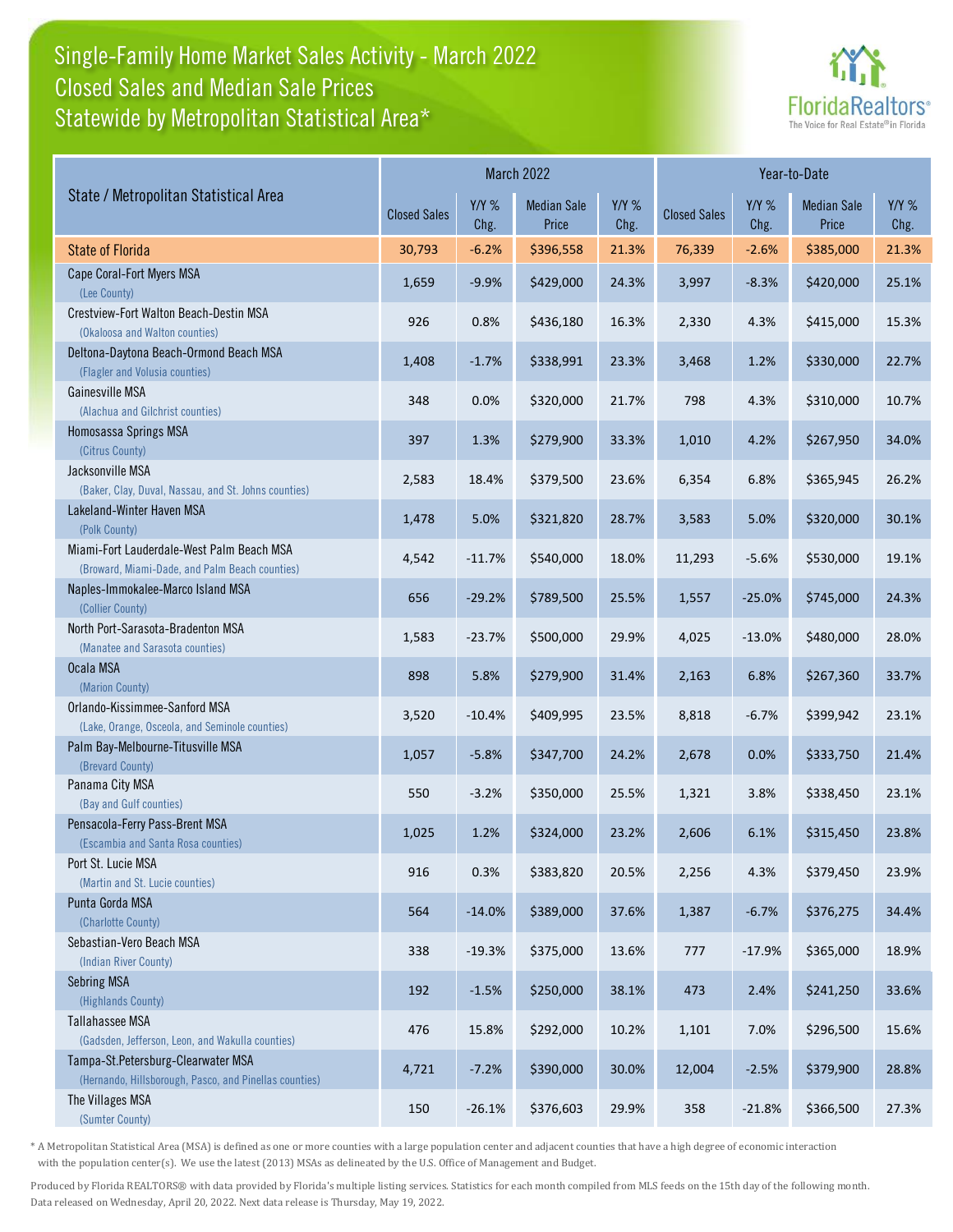## Single-Family Home Market Sales Activity - March 2022 Statewide by Metropolitan Statistical Area\* Closed Sales and Median Sale Prices



| State / Metropolitan Statistical Area                                                        | March 2022          |                 |                             |                 | Year-to-Date        |                 |                             |                 |
|----------------------------------------------------------------------------------------------|---------------------|-----------------|-----------------------------|-----------------|---------------------|-----------------|-----------------------------|-----------------|
|                                                                                              | <b>Closed Sales</b> | $Y/Y$ %<br>Chg. | <b>Median Sale</b><br>Price | $Y/Y$ %<br>Chg. | <b>Closed Sales</b> | $Y/Y$ %<br>Chg. | <b>Median Sale</b><br>Price | $Y/Y$ %<br>Chg. |
| <b>State of Florida</b>                                                                      | 30,793              | $-6.2%$         | \$396,558                   | 21.3%           | 76,339              | $-2.6%$         | \$385,000                   | 21.3%           |
| Cape Coral-Fort Myers MSA<br>(Lee County)                                                    | 1,659               | $-9.9%$         | \$429,000                   | 24.3%           | 3,997               | $-8.3%$         | \$420,000                   | 25.1%           |
| Crestview-Fort Walton Beach-Destin MSA<br>(Okaloosa and Walton counties)                     | 926                 | 0.8%            | \$436,180                   | 16.3%           | 2,330               | 4.3%            | \$415,000                   | 15.3%           |
| Deltona-Daytona Beach-Ormond Beach MSA<br>(Flagler and Volusia counties)                     | 1,408               | $-1.7%$         | \$338,991                   | 23.3%           | 3,468               | 1.2%            | \$330,000                   | 22.7%           |
| Gainesville MSA<br>(Alachua and Gilchrist counties)                                          | 348                 | 0.0%            | \$320,000                   | 21.7%           | 798                 | 4.3%            | \$310,000                   | 10.7%           |
| Homosassa Springs MSA<br>(Citrus County)                                                     | 397                 | 1.3%            | \$279,900                   | 33.3%           | 1,010               | 4.2%            | \$267,950                   | 34.0%           |
| Jacksonville MSA<br>(Baker, Clay, Duval, Nassau, and St. Johns counties)                     | 2,583               | 18.4%           | \$379,500                   | 23.6%           | 6,354               | 6.8%            | \$365,945                   | 26.2%           |
| Lakeland-Winter Haven MSA<br>(Polk County)                                                   | 1,478               | 5.0%            | \$321,820                   | 28.7%           | 3,583               | 5.0%            | \$320,000                   | 30.1%           |
| Miami-Fort Lauderdale-West Palm Beach MSA<br>(Broward, Miami-Dade, and Palm Beach counties)  | 4,542               | $-11.7%$        | \$540,000                   | 18.0%           | 11,293              | $-5.6%$         | \$530,000                   | 19.1%           |
| Naples-Immokalee-Marco Island MSA<br>(Collier County)                                        | 656                 | $-29.2%$        | \$789,500                   | 25.5%           | 1,557               | $-25.0%$        | \$745,000                   | 24.3%           |
| North Port-Sarasota-Bradenton MSA<br>(Manatee and Sarasota counties)                         | 1,583               | $-23.7%$        | \$500,000                   | 29.9%           | 4,025               | $-13.0%$        | \$480,000                   | 28.0%           |
| Ocala MSA<br>(Marion County)                                                                 | 898                 | 5.8%            | \$279,900                   | 31.4%           | 2,163               | 6.8%            | \$267,360                   | 33.7%           |
| Orlando-Kissimmee-Sanford MSA<br>(Lake, Orange, Osceola, and Seminole counties)              | 3,520               | $-10.4%$        | \$409,995                   | 23.5%           | 8,818               | $-6.7%$         | \$399,942                   | 23.1%           |
| Palm Bay-Melbourne-Titusville MSA<br>(Brevard County)                                        | 1,057               | $-5.8%$         | \$347,700                   | 24.2%           | 2,678               | 0.0%            | \$333,750                   | 21.4%           |
| Panama City MSA<br>(Bay and Gulf counties)                                                   | 550                 | $-3.2%$         | \$350,000                   | 25.5%           | 1,321               | 3.8%            | \$338,450                   | 23.1%           |
| Pensacola-Ferry Pass-Brent MSA<br>(Escambia and Santa Rosa counties)                         | 1,025               | 1.2%            | \$324,000                   | 23.2%           | 2,606               | 6.1%            | \$315,450                   | 23.8%           |
| Port St. Lucie MSA<br>(Martin and St. Lucie counties)                                        | 916                 | 0.3%            | \$383,820                   | 20.5%           | 2,256               | 4.3%            | \$379,450                   | 23.9%           |
| Punta Gorda MSA<br>(Charlotte County)                                                        | 564                 | $-14.0%$        | \$389,000                   | 37.6%           | 1,387               | $-6.7%$         | \$376,275                   | 34.4%           |
| Sebastian-Vero Beach MSA<br>(Indian River County)                                            | 338                 | $-19.3%$        | \$375,000                   | 13.6%           | 777                 | $-17.9%$        | \$365,000                   | 18.9%           |
| <b>Sebring MSA</b><br>(Highlands County)                                                     | 192                 | $-1.5%$         | \$250,000                   | 38.1%           | 473                 | 2.4%            | \$241,250                   | 33.6%           |
| Tallahassee MSA<br>(Gadsden, Jefferson, Leon, and Wakulla counties)                          | 476                 | 15.8%           | \$292,000                   | 10.2%           | 1,101               | 7.0%            | \$296,500                   | 15.6%           |
| Tampa-St.Petersburg-Clearwater MSA<br>(Hernando, Hillsborough, Pasco, and Pinellas counties) | 4,721               | $-7.2%$         | \$390,000                   | 30.0%           | 12,004              | $-2.5%$         | \$379,900                   | 28.8%           |
| The Villages MSA<br>(Sumter County)                                                          | 150                 | $-26.1%$        | \$376,603                   | 29.9%           | 358                 | $-21.8%$        | \$366,500                   | 27.3%           |

\* A Metropolitan Statistical Area (MSA) is defined as one or more counties with a large population center and adjacent counties that have a high degree of economic interaction with the population center(s). We use the latest (2013) MSAs as delineated by the U.S. Office of Management and Budget.

Produced by Florida REALTORS® with data provided by Florida's multiple listing services. Statistics for each month compiled from MLS feeds on the 15th day of the following month. Data released on Wednesday, April 20, 2022. Next data release is Thursday, May 19, 2022.